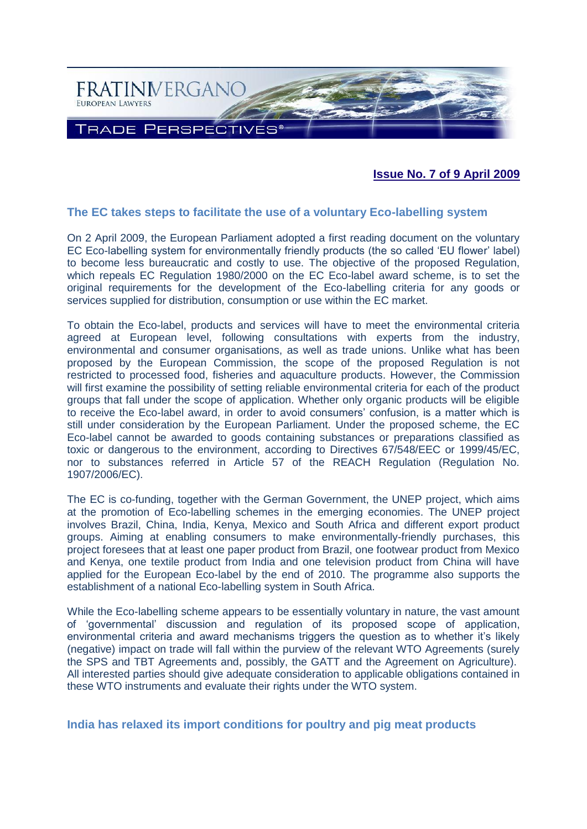

**Issue No. 7 of 9 April 2009**

## **The EC takes steps to facilitate the use of a voluntary Eco-labelling system**

On 2 April 2009, the European Parliament adopted a first reading document on the voluntary EC Eco-labelling system for environmentally friendly products (the so called 'EU flower' label) to become less bureaucratic and costly to use. The objective of the proposed Regulation, which repeals EC Regulation 1980/2000 on the EC Eco-label award scheme, is to set the original requirements for the development of the Eco-labelling criteria for any goods or services supplied for distribution, consumption or use within the EC market.

To obtain the Eco-label, products and services will have to meet the environmental criteria agreed at European level, following consultations with experts from the industry, environmental and consumer organisations, as well as trade unions. Unlike what has been proposed by the European Commission, the scope of the proposed Regulation is not restricted to processed food, fisheries and aquaculture products. However, the Commission will first examine the possibility of setting reliable environmental criteria for each of the product groups that fall under the scope of application. Whether only organic products will be eligible to receive the Eco-label award, in order to avoid consumers' confusion, is a matter which is still under consideration by the European Parliament. Under the proposed scheme, the EC Eco-label cannot be awarded to goods containing substances or preparations classified as toxic or dangerous to the environment, according to Directives 67/548/EEC or 1999/45/EC, nor to substances referred in Article 57 of the REACH Regulation (Regulation No. 1907/2006/EC).

The EC is co-funding, together with the German Government, the UNEP project, which aims at the promotion of Eco-labelling schemes in the emerging economies. The UNEP project involves Brazil, China, India, Kenya, Mexico and South Africa and different export product groups. Aiming at enabling consumers to make environmentally-friendly purchases, this project foresees that at least one paper product from Brazil, one footwear product from Mexico and Kenya, one textile product from India and one television product from China will have applied for the European Eco-label by the end of 2010. The programme also supports the establishment of a national Eco-labelling system in South Africa.

While the Eco-labelling scheme appears to be essentially voluntary in nature, the vast amount of 'governmental' discussion and regulation of its proposed scope of application, environmental criteria and award mechanisms triggers the question as to whether it's likely (negative) impact on trade will fall within the purview of the relevant WTO Agreements (surely the SPS and TBT Agreements and, possibly, the GATT and the Agreement on Agriculture). All interested parties should give adequate consideration to applicable obligations contained in these WTO instruments and evaluate their rights under the WTO system.

**India has relaxed its import conditions for poultry and pig meat products**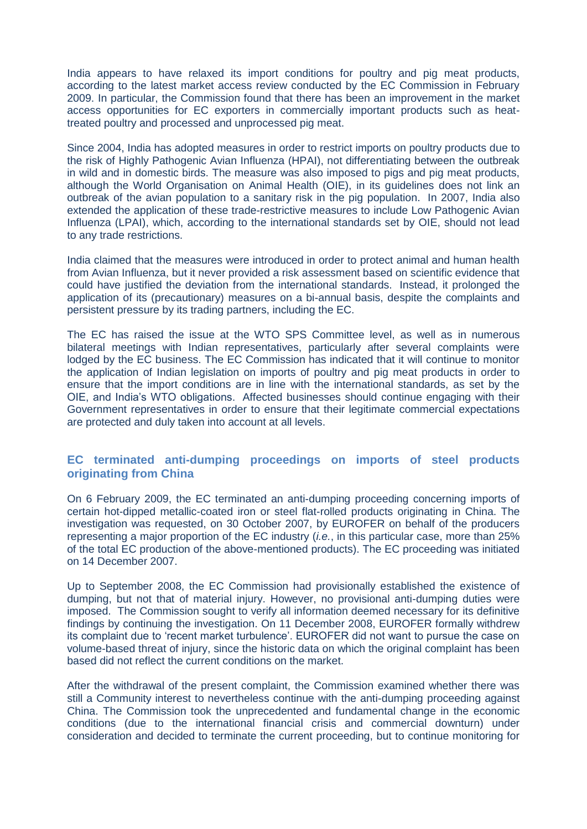India appears to have relaxed its import conditions for poultry and pig meat products, according to the latest market access review conducted by the EC Commission in February 2009. In particular, the Commission found that there has been an improvement in the market access opportunities for EC exporters in commercially important products such as heattreated poultry and processed and unprocessed pig meat.

Since 2004, India has adopted measures in order to restrict imports on poultry products due to the risk of Highly Pathogenic Avian Influenza (HPAI), not differentiating between the outbreak in wild and in domestic birds. The measure was also imposed to pigs and pig meat products, although the World Organisation on Animal Health (OIE), in its guidelines does not link an outbreak of the avian population to a sanitary risk in the pig population. In 2007, India also extended the application of these trade-restrictive measures to include Low Pathogenic Avian Influenza (LPAI), which, according to the international standards set by OIE, should not lead to any trade restrictions.

India claimed that the measures were introduced in order to protect animal and human health from Avian Influenza, but it never provided a risk assessment based on scientific evidence that could have justified the deviation from the international standards. Instead, it prolonged the application of its (precautionary) measures on a bi-annual basis, despite the complaints and persistent pressure by its trading partners, including the EC.

The EC has raised the issue at the WTO SPS Committee level, as well as in numerous bilateral meetings with Indian representatives, particularly after several complaints were lodged by the EC business. The EC Commission has indicated that it will continue to monitor the application of Indian legislation on imports of poultry and pig meat products in order to ensure that the import conditions are in line with the international standards, as set by the OIE, and India's WTO obligations. Affected businesses should continue engaging with their Government representatives in order to ensure that their legitimate commercial expectations are protected and duly taken into account at all levels.

## **EC terminated anti-dumping proceedings on imports of steel products originating from China**

On 6 February 2009, the EC terminated an anti-dumping proceeding concerning imports of certain hot-dipped metallic-coated iron or steel flat-rolled products originating in China. The investigation was requested, on 30 October 2007, by EUROFER on behalf of the producers representing a major proportion of the EC industry (*i.e.*, in this particular case, more than 25% of the total EC production of the above-mentioned products). The EC proceeding was initiated on 14 December 2007.

Up to September 2008, the EC Commission had provisionally established the existence of dumping, but not that of material injury. However, no provisional anti-dumping duties were imposed. The Commission sought to verify all information deemed necessary for its definitive findings by continuing the investigation. On 11 December 2008, EUROFER formally withdrew its complaint due to 'recent market turbulence'. EUROFER did not want to pursue the case on volume-based threat of injury, since the historic data on which the original complaint has been based did not reflect the current conditions on the market.

After the withdrawal of the present complaint, the Commission examined whether there was still a Community interest to nevertheless continue with the anti-dumping proceeding against China. The Commission took the unprecedented and fundamental change in the economic conditions (due to the international financial crisis and commercial downturn) under consideration and decided to terminate the current proceeding, but to continue monitoring for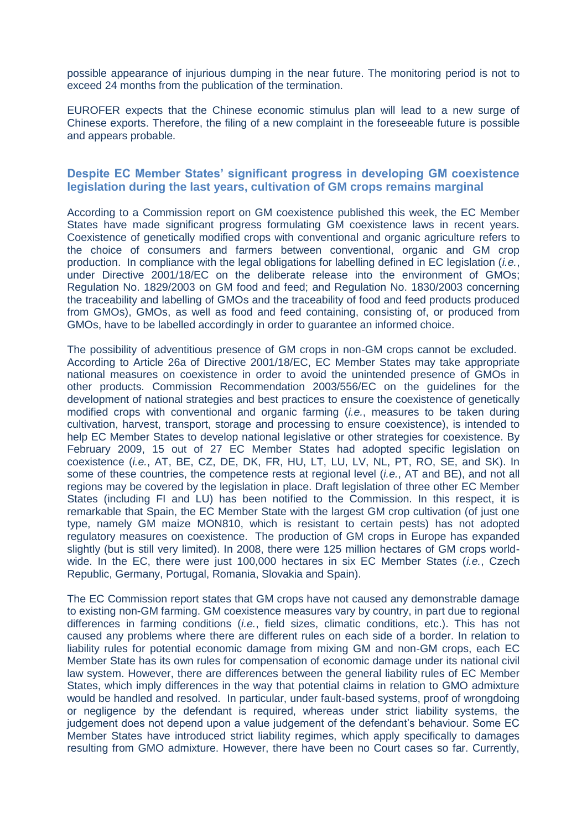possible appearance of injurious dumping in the near future. The monitoring period is not to exceed 24 months from the publication of the termination.

EUROFER expects that the Chinese economic stimulus plan will lead to a new surge of Chinese exports. Therefore, the filing of a new complaint in the foreseeable future is possible and appears probable.

## **Despite EC Member States' significant progress in developing GM coexistence legislation during the last years, cultivation of GM crops remains marginal**

According to a Commission report on GM coexistence published this week, the EC Member States have made significant progress formulating GM coexistence laws in recent years. Coexistence of genetically modified crops with conventional and organic agriculture refers to the choice of consumers and farmers between conventional, organic and GM crop production. In compliance with the legal obligations for labelling defined in EC legislation (*i.e.*, under Directive 2001/18/EC on the deliberate release into the environment of GMOs; Regulation No. 1829/2003 on GM food and feed; and Regulation No. 1830/2003 concerning the traceability and labelling of GMOs and the traceability of food and feed products produced from GMOs), GMOs, as well as food and feed containing, consisting of, or produced from GMOs, have to be labelled accordingly in order to guarantee an informed choice.

The possibility of adventitious presence of GM crops in non-GM crops cannot be excluded. According to Article 26a of Directive 2001/18/EC, EC Member States may take appropriate national measures on coexistence in order to avoid the unintended presence of GMOs in other products. Commission Recommendation 2003/556/EC on the guidelines for the development of national strategies and best practices to ensure the coexistence of genetically modified crops with conventional and organic farming (*i.e.*, measures to be taken during cultivation, harvest, transport, storage and processing to ensure coexistence), is intended to help EC Member States to develop national legislative or other strategies for coexistence. By February 2009, 15 out of 27 EC Member States had adopted specific legislation on coexistence (*i.e.*, AT, BE, CZ, DE, DK, FR, HU, LT, LU, LV, NL, PT, RO, SE, and SK). In some of these countries, the competence rests at regional level (*i.e.*, AT and BE), and not all regions may be covered by the legislation in place. Draft legislation of three other EC Member States (including FI and LU) has been notified to the Commission. In this respect, it is remarkable that Spain, the EC Member State with the largest GM crop cultivation (of just one type, namely GM maize MON810, which is resistant to certain pests) has not adopted regulatory measures on coexistence. The production of GM crops in Europe has expanded slightly (but is still very limited). In 2008, there were 125 million hectares of GM crops worldwide. In the EC, there were just 100,000 hectares in six EC Member States (*i.e.*, Czech Republic, Germany, Portugal, Romania, Slovakia and Spain).

The EC Commission report states that GM crops have not caused any demonstrable damage to existing non-GM farming. GM coexistence measures vary by country, in part due to regional differences in farming conditions (*i.e.*, field sizes, climatic conditions, etc.). This has not caused any problems where there are different rules on each side of a border. In relation to liability rules for potential economic damage from mixing GM and non-GM crops, each EC Member State has its own rules for compensation of economic damage under its national civil law system. However, there are differences between the general liability rules of EC Member States, which imply differences in the way that potential claims in relation to GMO admixture would be handled and resolved. In particular, under fault-based systems, proof of wrongdoing or negligence by the defendant is required, whereas under strict liability systems, the judgement does not depend upon a value judgement of the defendant's behaviour. Some EC Member States have introduced strict liability regimes, which apply specifically to damages resulting from GMO admixture. However, there have been no Court cases so far. Currently,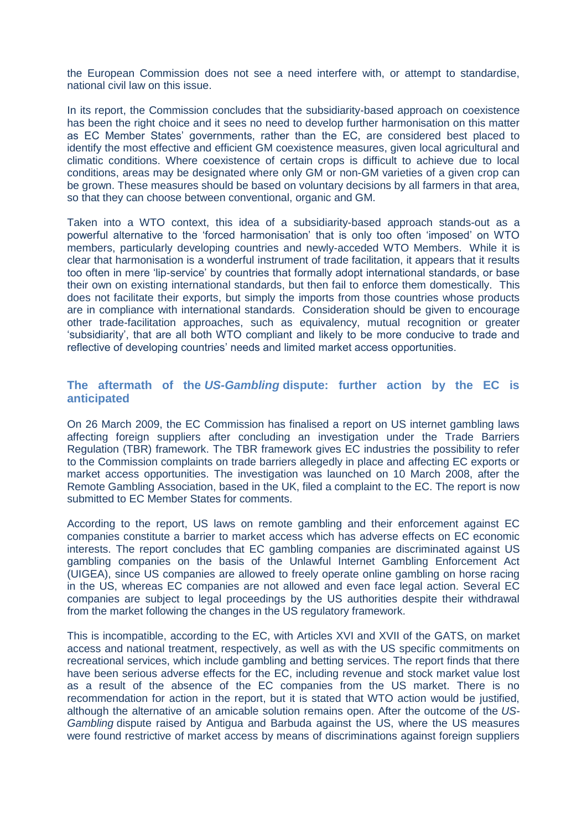the European Commission does not see a need interfere with, or attempt to standardise, national civil law on this issue.

In its report, the Commission concludes that the subsidiarity-based approach on coexistence has been the right choice and it sees no need to develop further harmonisation on this matter as EC Member States' governments, rather than the EC, are considered best placed to identify the most effective and efficient GM coexistence measures, given local agricultural and climatic conditions. Where coexistence of certain crops is difficult to achieve due to local conditions, areas may be designated where only GM or non-GM varieties of a given crop can be grown. These measures should be based on voluntary decisions by all farmers in that area, so that they can choose between conventional, organic and GM.

Taken into a WTO context, this idea of a subsidiarity-based approach stands-out as a powerful alternative to the 'forced harmonisation' that is only too often 'imposed' on WTO members, particularly developing countries and newly-acceded WTO Members. While it is clear that harmonisation is a wonderful instrument of trade facilitation, it appears that it results too often in mere 'lip-service' by countries that formally adopt international standards, or base their own on existing international standards, but then fail to enforce them domestically. This does not facilitate their exports, but simply the imports from those countries whose products are in compliance with international standards. Consideration should be given to encourage other trade-facilitation approaches, such as equivalency, mutual recognition or greater 'subsidiarity', that are all both WTO compliant and likely to be more conducive to trade and reflective of developing countries' needs and limited market access opportunities.

# **The aftermath of the** *US-Gambling* **dispute: further action by the EC is anticipated**

On 26 March 2009, the EC Commission has finalised a report on US internet gambling laws affecting foreign suppliers after concluding an investigation under the Trade Barriers Regulation (TBR) framework. The TBR framework gives EC industries the possibility to refer to the Commission complaints on trade barriers allegedly in place and affecting EC exports or market access opportunities. The investigation was launched on 10 March 2008, after the Remote Gambling Association, based in the UK, filed a complaint to the EC. The report is now submitted to EC Member States for comments.

According to the report, US laws on remote gambling and their enforcement against EC companies constitute a barrier to market access which has adverse effects on EC economic interests. The report concludes that EC gambling companies are discriminated against US gambling companies on the basis of the Unlawful Internet Gambling Enforcement Act (UIGEA), since US companies are allowed to freely operate online gambling on horse racing in the US, whereas EC companies are not allowed and even face legal action. Several EC companies are subject to legal proceedings by the US authorities despite their withdrawal from the market following the changes in the US regulatory framework.

This is incompatible, according to the EC, with Articles XVI and XVII of the GATS, on market access and national treatment, respectively, as well as with the US specific commitments on recreational services, which include gambling and betting services. The report finds that there have been serious adverse effects for the EC, including revenue and stock market value lost as a result of the absence of the EC companies from the US market. There is no recommendation for action in the report, but it is stated that WTO action would be justified, although the alternative of an amicable solution remains open. After the outcome of the *US-Gambling* dispute raised by Antigua and Barbuda against the US, where the US measures were found restrictive of market access by means of discriminations against foreign suppliers